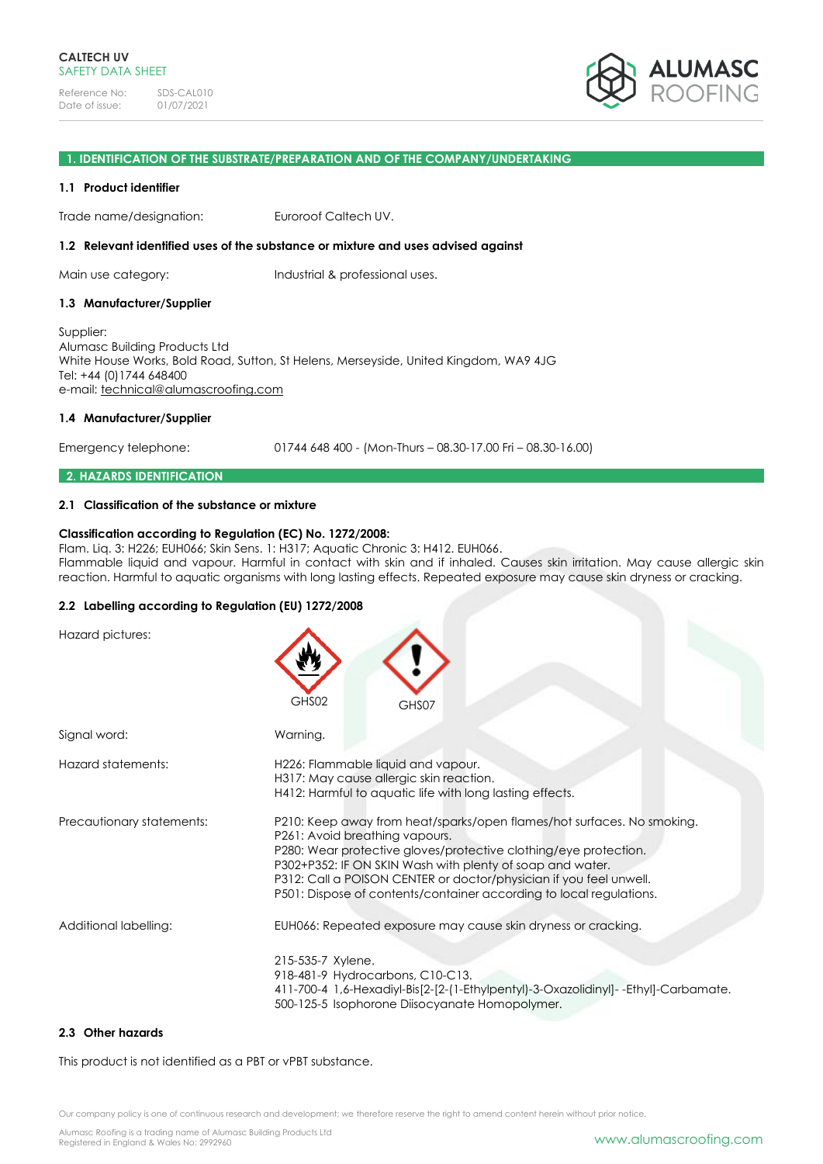

#### **1. IDENTIFICATION OF THE SUBSTRATE/PREPARATION AND OF THE COMPANY/UNDERTAKING**

### **1.1 Product identifier**

Trade name/designation: Euroroof Caltech UV.

### **1.2 Relevant identified uses of the substance or mixture and uses advised against**

Main use category: Industrial & professional uses.

### **1.3 Manufacturer/Supplier**

Supplier: Alumasc Building Products Ltd White House Works, Bold Road, Sutton, St Helens, Merseyside, United Kingdom, WA9 4JG Tel: +44 (0)1744 648400 e-mail: [technical@alumascroofing.com](mailto:technical@alumascroofing.com)

### **1.4 Manufacturer/Supplier**

Emergency telephone: 01744 648 400 - (Mon-Thurs – 08.30-17.00 Fri – 08.30-16.00)

### **2. HAZARDS IDENTIFICATION**

### **2.1 Classification of the substance or mixture**

### **Classification according to Regulation (EC) No. 1272/2008:**

Flam. Liq. 3: H226; EUH066; Skin Sens. 1: H317; Aquatic Chronic 3: H412. EUH066. Flammable liquid and vapour. Harmful in contact with skin and if inhaled. Causes skin irritation. May cause allergic skin reaction. Harmful to aquatic organisms with long lasting effects. Repeated exposure may cause skin dryness or cracking.

### **2.2 Labelling according to Regulation (EU) 1272/2008**

| Hazard pictures:          | GHS02<br>GHS07                                                                                                                                                                                                                                                                                                                                                                         |
|---------------------------|----------------------------------------------------------------------------------------------------------------------------------------------------------------------------------------------------------------------------------------------------------------------------------------------------------------------------------------------------------------------------------------|
| Signal word:              | Warning.                                                                                                                                                                                                                                                                                                                                                                               |
| Hazard statements:        | H226: Flammable liquid and vapour.<br>H317: May cause allergic skin reaction.<br>H412: Harmful to aquatic life with long lasting effects.                                                                                                                                                                                                                                              |
| Precautionary statements: | P210: Keep away from heat/sparks/open flames/hot surfaces. No smoking.<br>P261: Avoid breathing vapours.<br>P280: Wear protective gloves/protective clothing/eye protection.<br>P302+P352: IF ON SKIN Wash with plenty of soap and water.<br>P312: Call a POISON CENTER or doctor/physician if you feel unwell.<br>P501: Dispose of contents/container according to local regulations. |
| Additional labelling:     | EUH066: Repeated exposure may cause skin dryness or cracking.<br>215-535-7 Xylene.<br>918-481-9 Hydrocarbons, C10-C13.<br>411-700-4 1,6-Hexadiyl-Bis[2-[2-(1-Ethylpentyl)-3-Oxazolidinyl]--Ethyl]-Carbamate.<br>500-125-5 Isophorone Diisocyanate Homopolymer.                                                                                                                         |

### **2.3 Other hazards**

This product is not identified as a PBT or vPBT substance.

Our company policy is one of continuous research and development; we therefore reserve the right to amend content herein without prior notice.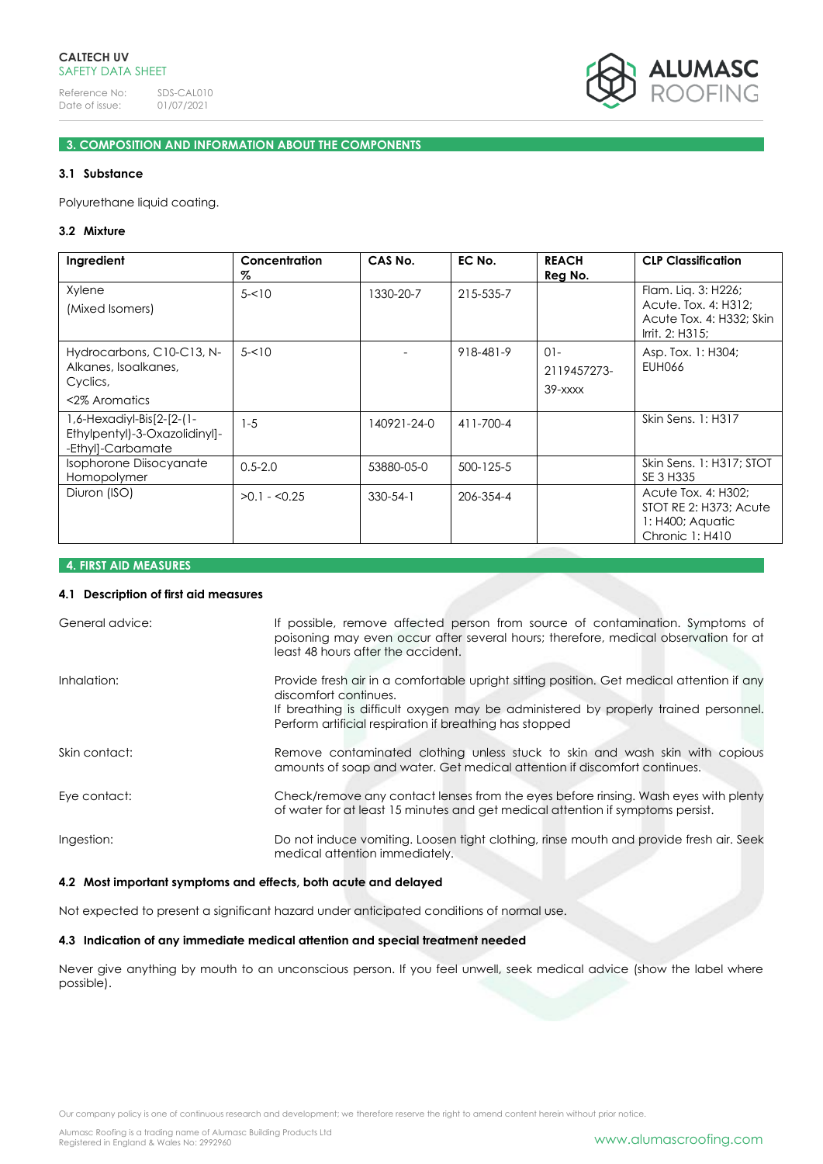

# **3. COMPOSITION AND INFORMATION ABOUT THE COMPONENTS**

# **3.1 Substance**

Polyurethane liquid coating.

# **3.2 Mixture**

| Ingredient                                                                      | Concentration<br>Z | CAS No.        | EC No.          | <b>REACH</b><br>Reg No.             | <b>CLP Classification</b>                                                                  |
|---------------------------------------------------------------------------------|--------------------|----------------|-----------------|-------------------------------------|--------------------------------------------------------------------------------------------|
| Xylene<br>(Mixed Isomers)                                                       | $5 - 10$           | 1330-20-7      | 215-535-7       |                                     | Flam. Lig. 3: H226;<br>Acute. Tox. 4: H312:<br>Acute Tox. 4: H332; Skin<br>Irrit. 2: H315; |
| Hydrocarbons, C10-C13, N-<br>Alkanes, Isoalkanes,<br>Cyclics,<br><2% Aromatics  | $5 - 10$           |                | 918-481-9       | $01 -$<br>2119457273-<br>$39  xxxx$ | Asp. Tox. 1: H304;<br>EUH066                                                               |
| 1,6-Hexadiyl-Bis[2-[2-(1-<br>Ethylpentyl)-3-Oxazolidinyl]-<br>-Ethyl]-Carbamate | $1 - 5$            | 140921-24-0    | 411-700-4       |                                     | Skin Sens. 1: H317                                                                         |
| Isophorone Diisocyanate<br>Homopolymer                                          | $0.5 - 2.0$        | 53880-05-0     | $500 - 125 - 5$ |                                     | Skin Sens. 1: H317; STOT<br>SE 3 H335                                                      |
| Diuron (ISO)                                                                    | $>0.1 - 0.25$      | $330 - 54 - 1$ | 206-354-4       |                                     | Acute Tox. 4: H302;<br>STOT RE 2: H373; Acute<br>$1:$ H400; Aquatic<br>Chronic 1: H410     |

# **4. FIRST AID MEASURES**

### **4.1 Description of first aid measures**

| General advice: | If possible, remove affected person from source of contamination. Symptoms of<br>poisoning may even occur after several hours; therefore, medical observation for at<br>least 48 hours after the accident.                                                           |
|-----------------|----------------------------------------------------------------------------------------------------------------------------------------------------------------------------------------------------------------------------------------------------------------------|
| Inhalation:     | Provide fresh air in a comfortable upright sitting position. Get medical attention if any<br>discomfort continues.<br>If breathing is difficult oxygen may be administered by properly trained personnel.<br>Perform artificial respiration if breathing has stopped |
| Skin contact:   | Remove contaminated clothing unless stuck to skin and wash skin with copious<br>amounts of soap and water. Get medical attention if discomfort continues.                                                                                                            |
| Eye contact:    | Check/remove any contact lenses from the eyes before rinsing. Wash eyes with plenty<br>of water for at least 15 minutes and get medical attention if symptoms persist.                                                                                               |
| Ingestion:      | Do not induce vomiting. Loosen tight clothing, rinse mouth and provide fresh air. Seek<br>medical attention immediately.                                                                                                                                             |

# **4.2 Most important symptoms and effects, both acute and delayed**

Not expected to present a significant hazard under anticipated conditions of normal use.

# **4.3 Indication of any immediate medical attention and special treatment needed**

Never give anything by mouth to an unconscious person. If you feel unwell, seek medical advice (show the label where possible).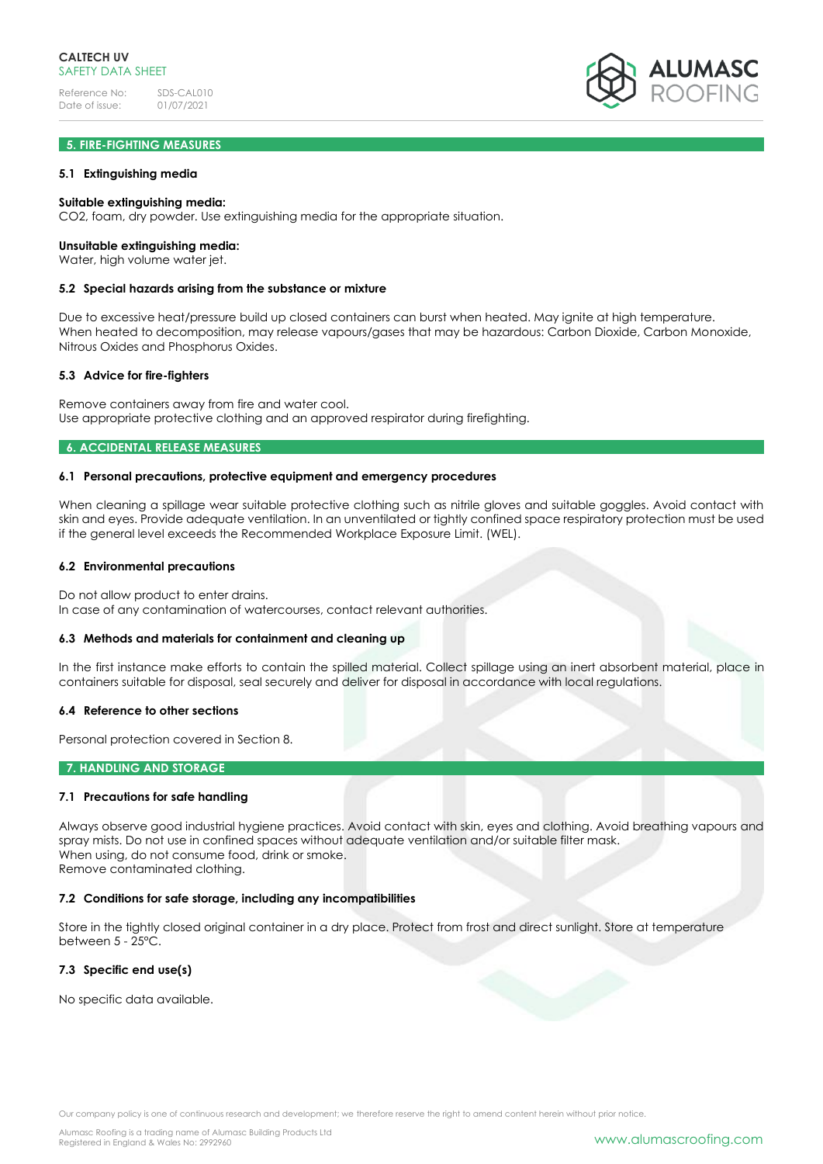# **5. FIRE-FIGHTING MEASURES**

### **5.1 Extinguishing media**

### **Suitable extinguishing media:**

CO2, foam, dry powder. Use extinguishing media for the appropriate situation.

#### **Unsuitable extinguishing media:**

Water, high volume water jet.

#### **5.2 Special hazards arising from the substance or mixture**

Due to excessive heat/pressure build up closed containers can burst when heated. May ignite at high temperature. When heated to decomposition, may release vapours/gases that may be hazardous: Carbon Dioxide, Carbon Monoxide, Nitrous Oxides and Phosphorus Oxides.

### **5.3 Advice for fire-fighters**

Remove containers away from fire and water cool. Use appropriate protective clothing and an approved respirator during firefighting.

# **6. ACCIDENTAL RELEASE MEASURES**

### **6.1 Personal precautions, protective equipment and emergency procedures**

When cleaning a spillage wear suitable protective clothing such as nitrile gloves and suitable goggles. Avoid contact with skin and eyes. Provide adequate ventilation. In an unventilated or tightly confined space respiratory protection must be used if the general level exceeds the Recommended Workplace Exposure Limit. (WEL).

### **6.2 Environmental precautions**

Do not allow product to enter drains.

In case of any contamination of watercourses, contact relevant authorities.

#### **6.3 Methods and materials for containment and cleaning up**

In the first instance make efforts to contain the spilled material. Collect spillage using an inert absorbent material, place in containers suitable for disposal, seal securely and deliver for disposal in accordance with local regulations.

#### **6.4 Reference to other sections**

Personal protection covered in Section 8.

# **7. HANDLING AND STORAGE**

### **7.1 Precautions for safe handling**

Always observe good industrial hygiene practices. Avoid contact with skin, eyes and clothing. Avoid breathing vapours and spray mists. Do not use in confined spaces without adequate ventilation and/or suitable filter mask. When using, do not consume food, drink or smoke. Remove contaminated clothing.

### **7.2 Conditions for safe storage, including any incompatibilities**

Store in the tightly closed original container in a dry place. Protect from frost and direct sunlight. Store at temperature between 5 - 25°C.

### **7.3 Specific end use(s)**

No specific data available.

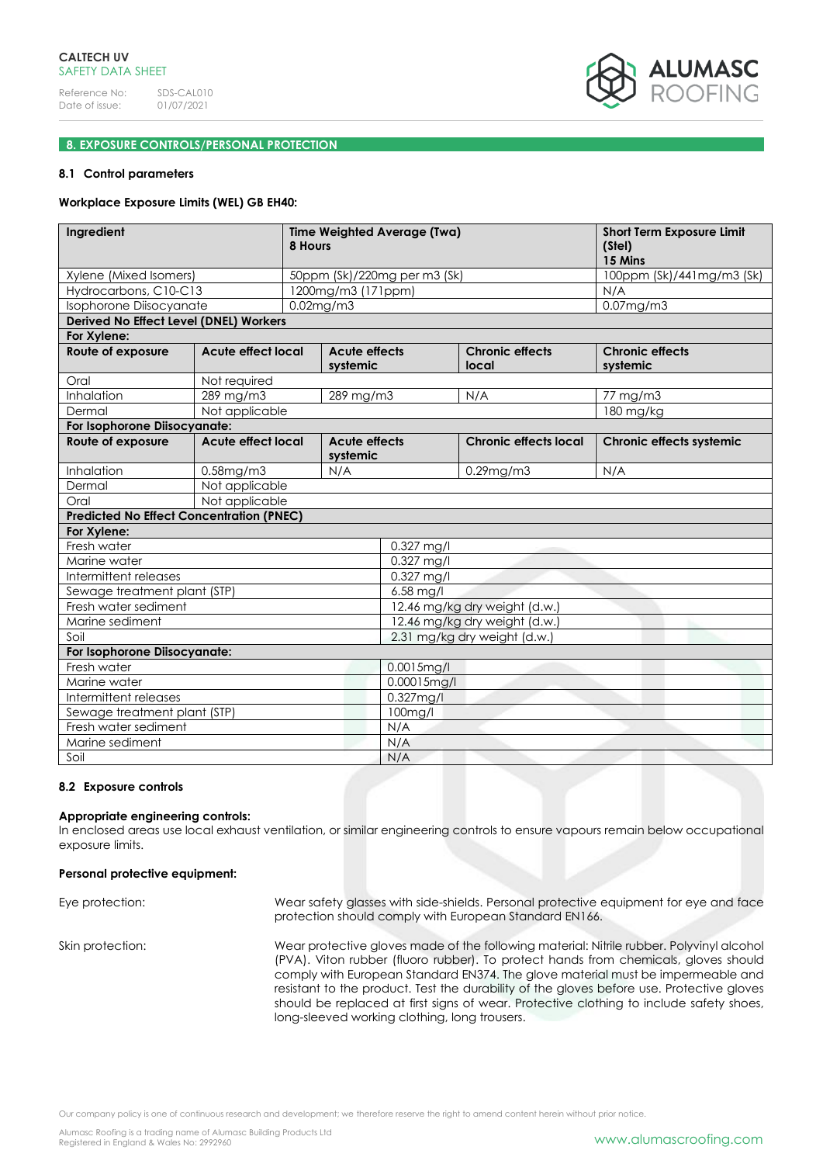

# **8. EXPOSURE CONTROLS/PERSONAL PROTECTION**

# **8.1 Control parameters**

### **Workplace Exposure Limits (WEL) GB EH40:**

| Ingredient                                      |                                                               | Time Weighted Average (Twa)<br>8 Hours |                    |                                 |                                    | <b>Short Term Exposure Limit</b><br>(Stel)<br>15 Mins |
|-------------------------------------------------|---------------------------------------------------------------|----------------------------------------|--------------------|---------------------------------|------------------------------------|-------------------------------------------------------|
| Xylene (Mixed Isomers)                          |                                                               | 50ppm (Sk)/220mg per m3 (Sk)           |                    |                                 |                                    | 100ppm (Sk)/441mg/m3 (Sk)                             |
| Hydrocarbons, C10-C13                           |                                                               |                                        | 1200mg/m3 (171ppm) |                                 |                                    | N/A                                                   |
| Isophorone Diisocyanate                         |                                                               |                                        | $0.02$ mg/m $3$    |                                 |                                    | $0.07$ mg/m $3$                                       |
| Derived No Effect Level (DNEL) Workers          |                                                               |                                        |                    |                                 |                                    |                                                       |
| For Xylene:                                     |                                                               |                                        |                    |                                 |                                    |                                                       |
| Route of exposure                               | <b>Acute effect local</b><br><b>Acute effects</b><br>systemic |                                        |                    | <b>Chronic effects</b><br>local | <b>Chronic effects</b><br>systemic |                                                       |
| Oral                                            | Not required                                                  |                                        |                    |                                 |                                    |                                                       |
| Inhalation                                      | 289 mg/m3                                                     |                                        | 289 mg/m3          |                                 | N/A                                | 77 mg/m3                                              |
| Dermal                                          | Not applicable                                                |                                        |                    |                                 |                                    | 180 mg/kg                                             |
| For Isophorone Diisocyanate:                    |                                                               |                                        |                    |                                 |                                    |                                                       |
| Route of exposure                               | <b>Acute effect local</b><br><b>Acute effects</b>             |                                        | systemic           |                                 | <b>Chronic effects local</b>       | Chronic effects systemic                              |
| Inhalation                                      | $0.58$ mg/m $3$                                               |                                        | N/A                |                                 | $0.29$ mg/m $3$                    | N/A                                                   |
| Dermal                                          | Not applicable                                                |                                        |                    |                                 |                                    |                                                       |
| Oral                                            | Not applicable                                                |                                        |                    |                                 |                                    |                                                       |
| <b>Predicted No Effect Concentration (PNEC)</b> |                                                               |                                        |                    |                                 |                                    |                                                       |
| For Xylene:                                     |                                                               |                                        |                    |                                 |                                    |                                                       |
| Fresh water                                     |                                                               |                                        |                    | 0.327 mg/l                      |                                    |                                                       |
| Marine water                                    |                                                               | $0.327$ mg/l                           |                    |                                 |                                    |                                                       |
| Intermittent releases                           |                                                               | 0.327 mg/l                             |                    |                                 |                                    |                                                       |
| Sewage treatment plant (STP)                    |                                                               |                                        |                    | 6.58 mg/l                       |                                    |                                                       |
| Fresh water sediment                            |                                                               | 12.46 mg/kg dry weight (d.w.)          |                    |                                 |                                    |                                                       |
| Marine sediment                                 |                                                               | 12.46 mg/kg dry weight (d.w.)          |                    |                                 |                                    |                                                       |
| Soil                                            |                                                               |                                        |                    | 2.31 mg/kg dry weight (d.w.)    |                                    |                                                       |
| For Isophorone Diisocyanate:                    |                                                               |                                        |                    |                                 |                                    |                                                       |
| Fresh water                                     |                                                               |                                        | 0.0015mg/l         |                                 |                                    |                                                       |
| Marine water                                    |                                                               | $0.00015$ mg/l                         |                    |                                 |                                    |                                                       |
| Intermittent releases                           |                                                               | $0.327$ mg/l                           |                    |                                 |                                    |                                                       |
| Sewage treatment plant (STP)                    |                                                               | 100mg/l                                |                    |                                 |                                    |                                                       |
| Fresh water sediment                            |                                                               | N/A<br>N/A                             |                    |                                 |                                    |                                                       |
| Marine sediment                                 |                                                               | N/A                                    |                    |                                 |                                    |                                                       |
| Soil                                            |                                                               |                                        |                    |                                 |                                    |                                                       |

### **8.2 Exposure controls**

# **Appropriate engineering controls:**

In enclosed areas use local exhaust ventilation, or similar engineering controls to ensure vapours remain below occupational exposure limits.

# **Personal protective equipment:**

| Eye protection:  | Wear safety glasses with side-shields. Personal protective equipment for eye and face<br>protection should comply with European Standard EN166.                                                                                                                                                                                                                                                                                                                                                             |
|------------------|-------------------------------------------------------------------------------------------------------------------------------------------------------------------------------------------------------------------------------------------------------------------------------------------------------------------------------------------------------------------------------------------------------------------------------------------------------------------------------------------------------------|
| Skin protection: | Wear protective gloves made of the following material: Nitrile rubber. Polyvinyl alcohol<br>(PVA). Viton rubber (fluoro rubber). To protect hands from chemicals, gloves should<br>comply with European Standard EN374. The glove material must be impermeable and<br>resistant to the product. Test the durability of the gloves before use. Protective gloves<br>should be replaced at first signs of wear. Protective clothing to include safety shoes,<br>long-sleeved working clothing, long trousers. |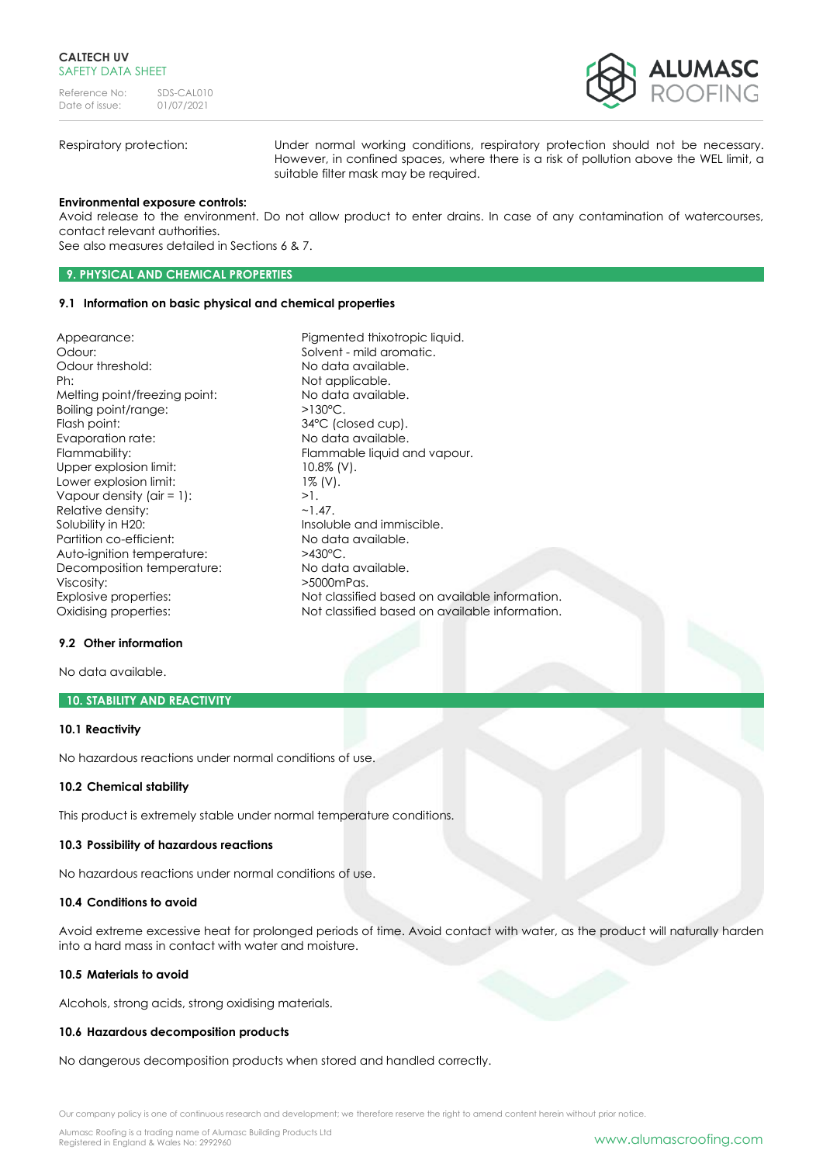

Respiratory protection: Under normal working conditions, respiratory protection should not be necessary. However, in confined spaces, where there is a risk of pollution above the WEL limit, a suitable filter mask may be required.

### **Environmental exposure controls:**

Avoid release to the environment. Do not allow product to enter drains. In case of any contamination of watercourses, contact relevant authorities.

See also measures detailed in Sections 6 & 7.

# **9. PHYSICAL AND CHEMICAL PROPERTIES**

### **9.1 Information on basic physical and chemical properties**

Appearance: Pigmented thixotropic liquid. Odour: Solvent - mild aromatic. Odour threshold: No data available. Ph: Not applicable. Melting point/freezing point: No data available. Boiling point/range:  $>130^{\circ}$ C. Flash point: 34°C (closed cup). Evaporation rate: No data available. Flammability: Flammable liquid and vapour. Upper explosion limit: 10.8% (V). Lower explosion limit: 1% (V). Vapour density  $\text{(air = 1):}$  >1. Relative density:  $\sim$ 1.47. Solubility in H20: Insoluble and immiscible. Partition co-efficient: No data available.<br>Auto-ianition temperature:  $>430^{\circ}$ C. Auto-ignition temperature:  $>430^{\circ}$ C.<br>Decomposition temperature: No data available. Decomposition temperature: Viscosity:  $>5000$ mPas. Explosive properties: Not classified based on available information. Oxidising properties: Not classified based on available information.

### **9.2 Other information**

No data available.

### **10. STABILITY AND REACTIVITY**

#### **10.1 Reactivity**

No hazardous reactions under normal conditions of use.

#### **10.2 Chemical stability**

This product is extremely stable under normal temperature conditions.

#### **10.3 Possibility of hazardous reactions**

No hazardous reactions under normal conditions of use.

# **10.4 Conditions to avoid**

Avoid extreme excessive heat for prolonged periods of time. Avoid contact with water, as the product will naturally harden into a hard mass in contact with water and moisture.

# **10.5 Materials to avoid**

Alcohols, strong acids, strong oxidising materials.

# **10.6 Hazardous decomposition products**

No dangerous decomposition products when stored and handled correctly.

Our company policy is one of continuous research and development; we therefore reserve the right to amend content herein without prior notice.

Alumasc Roofing is a trading name of Alumasc Building Products Ltd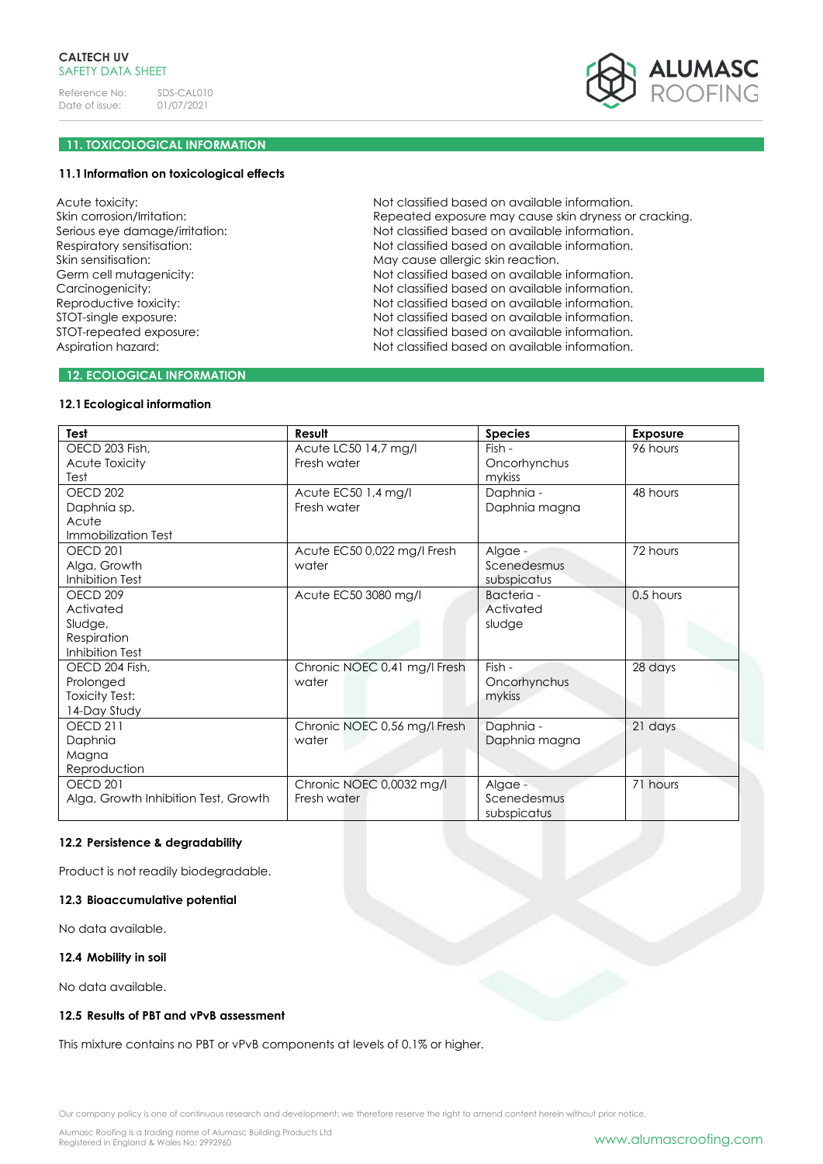

# **11. TOXICOLOGICAL INFORMATION**

### **11.1Information on toxicological effects**

Acute toxicity: Skin corrosion/Irritation: Serious eye damage/irritation: Respiratory sensitisation: Skin sensitisation: Germ cell mutagenicity: Carcinogenicity: Reproductive toxicity: STOT-single exposure: STOT-repeated exposure: Aspiration hazard:

Not classified based on available information. Repeated exposure may cause skin dryness or cracking. Not classified based on available information. Not classified based on available information. May cause allergic skin reaction. Not classified based on available information. Not classified based on available information. Not classified based on available information. Not classified based on available information. Not classified based on available information. Not classified based on available information.

# **12. ECOLOGICAL INFORMATION**

# **12.1Ecological information**

| Test                                 | Result                       | <b>Species</b>             | <b>Exposure</b> |
|--------------------------------------|------------------------------|----------------------------|-----------------|
| OECD 203 Fish,                       | Acute LC50 14,7 mg/l         | Fish -                     | 96 hours        |
| Acute Toxicity                       | Fresh water                  | Oncorhynchus               |                 |
| Test                                 |                              | mykiss                     |                 |
| OECD <sub>202</sub>                  | Acute EC50 1,4 mg/l          | Daphnia -                  | 48 hours        |
| Daphnia sp.                          | Fresh water                  | Daphnia magna              |                 |
| Acute                                |                              |                            |                 |
| Immobilization Test                  |                              |                            |                 |
| OECD <sub>201</sub>                  | Acute EC50 0,022 mg/l Fresh  | Algae -                    | 72 hours        |
| Alga, Growth                         | water                        | Scenedesmus                |                 |
| Inhibition Test                      |                              | subspicatus                |                 |
| OECD <sub>209</sub>                  | Acute EC50 3080 mg/l         | Bacteria -                 | 0.5 hours       |
| Activated                            |                              | Activated                  |                 |
| Sludge,                              |                              | sludge                     |                 |
| Respiration                          |                              |                            |                 |
| Inhibition Test                      |                              |                            |                 |
| OECD 204 Fish,                       | Chronic NOEC 0,41 mg/l Fresh | Fish -                     | 28 days         |
| Prolonged                            | water                        | Oncorhynchus               |                 |
| <b>Toxicity Test:</b>                |                              | mykiss                     |                 |
| 14-Day Study                         |                              |                            |                 |
| <b>OECD 211</b>                      | Chronic NOEC 0,56 mg/l Fresh | Daphnia -                  | 21 days         |
| Daphnia                              | water                        | Daphnia magna              |                 |
| Magna                                |                              |                            |                 |
| Reproduction                         |                              |                            |                 |
| OECD <sub>201</sub>                  | Chronic NOEC 0,0032 mg/l     | Algae -                    | 71 hours        |
| Alga, Growth Inhibition Test, Growth | Fresh water                  | Scenedesmus<br>subspicatus |                 |

# **12.2 Persistence & degradability**

Product is not readily biodegradable.

# **12.3 Bioaccumulative potential**

No data available.

#### **12.4 Mobility in soil**

No data available.

#### **12.5 Results of PBT and vPvB assessment**

This mixture contains no PBT or vPvB components at levels of 0.1% or higher.

Our company policy is one of continuous research and development; we therefore reserve the right to amend content herein without prior notice.

Alumasc Roofing is a trading name of Alumasc Building Products Ltd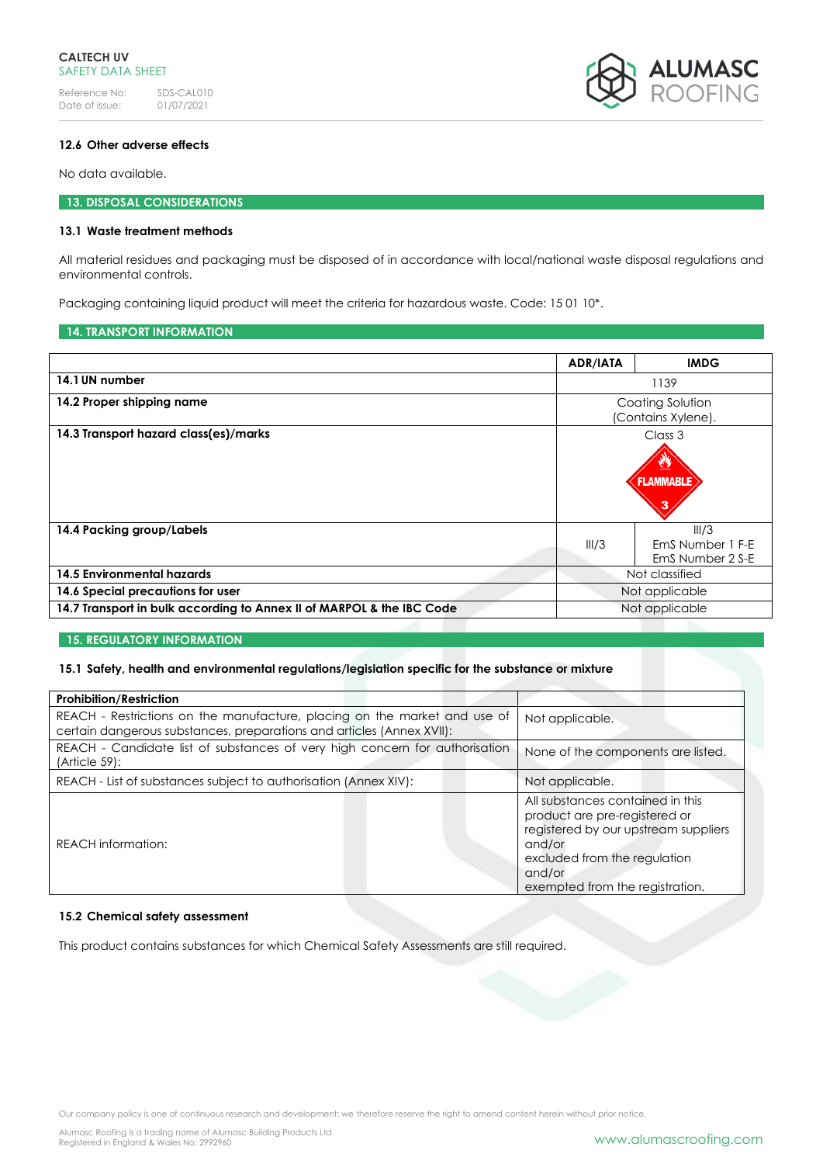

# **12.6 Other adverse effects**

No data available.

# **13. DISPOSAL CONSIDERATIONS**

# **13.1 Waste treatment methods**

All material residues and packaging must be disposed of in accordance with local/national waste disposal regulations and environmental controls.

Packaging containing liquid product will meet the criteria for hazardous waste. Code: 15 01 10\*.

### **14. TRANSPORT INFORMATION**

|                                                                       | <b>ADR/IATA</b>                        | <b>IMDG</b>                                   |
|-----------------------------------------------------------------------|----------------------------------------|-----------------------------------------------|
| 14.1 UN number                                                        | 1139                                   |                                               |
| 14.2 Proper shipping name                                             | Coating Solution<br>(Contains Xylene). |                                               |
| 14.3 Transport hazard class(es)/marks                                 |                                        | Class 3<br><b>FLAMMABLE</b>                   |
| 14.4 Packing group/Labels                                             | III/3                                  | III/3<br>EmS Number 1 F-E<br>EmS Number 2 S-E |
| 14.5 Environmental hazards                                            | Not classified                         |                                               |
| 14.6 Special precautions for user                                     | Not applicable                         |                                               |
| 14.7 Transport in bulk according to Annex II of MARPOL & the IBC Code |                                        | Not applicable                                |

### **15. REGULATORY INFORMATION**

# **15.1 Safety, health and environmental regulations/legislation specific for the substance or mixture**

| <b>Prohibition/Restriction</b>                                                                                                                     |                                                                                                                                                                                                  |
|----------------------------------------------------------------------------------------------------------------------------------------------------|--------------------------------------------------------------------------------------------------------------------------------------------------------------------------------------------------|
| REACH - Restrictions on the manufacture, placing on the market and use of<br>certain dangerous substances, preparations and articles (Annex XVII): | Not applicable.                                                                                                                                                                                  |
| REACH - Candidate list of substances of very high concern for authorisation<br>(Article 59):                                                       | None of the components are listed.                                                                                                                                                               |
| REACH - List of substances subject to authorisation (Annex XIV):                                                                                   | Not applicable.                                                                                                                                                                                  |
| <b>REACH</b> information:                                                                                                                          | All substances contained in this<br>product are pre-registered or<br>registered by our upstream suppliers<br>and/or<br>excluded from the regulation<br>and/or<br>exempted from the registration. |

# **15.2 Chemical safety assessment**

This product contains substances for which Chemical Safety Assessments are still required.

Our company policy is one of continuous research and development; we therefore reserve the right to amend content herein without prior notice.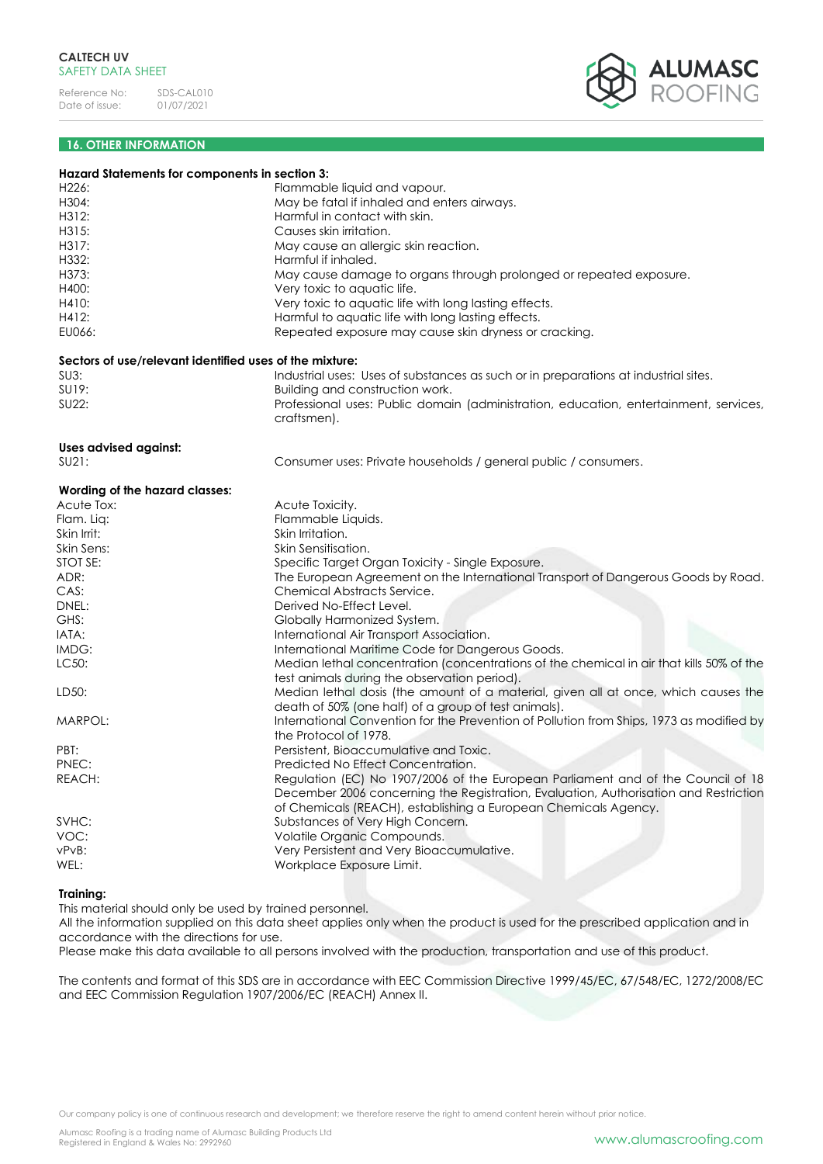

# **16. OTHER INFORMATION**

| Hazard Statements for components in section 3:          |                                                                                          |
|---------------------------------------------------------|------------------------------------------------------------------------------------------|
| H226:                                                   | Flammable liquid and vapour.                                                             |
| H304:                                                   | May be fatal if inhaled and enters airways.                                              |
| H312:                                                   | Harmful in contact with skin.                                                            |
| H315:                                                   | Causes skin irritation.                                                                  |
| H317:                                                   | May cause an allergic skin reaction.                                                     |
| H332:                                                   | Harmful if inhaled.                                                                      |
| H373:                                                   | May cause damage to organs through prolonged or repeated exposure.                       |
| H400:                                                   | Very toxic to aquatic life.                                                              |
| H410:                                                   | Very toxic to aquatic life with long lasting effects.                                    |
| H412:                                                   | Harmful to aquatic life with long lasting effects.                                       |
| EU066:                                                  | Repeated exposure may cause skin dryness or cracking.                                    |
|                                                         |                                                                                          |
| Sectors of use/relevant identified uses of the mixture: |                                                                                          |
| $SU3$ :                                                 | Industrial uses: Uses of substances as such or in preparations at industrial sites.      |
| SU19:                                                   | Building and construction work.                                                          |
| SU22:                                                   | Professional uses: Public domain (administration, education, entertainment, services,    |
|                                                         | craftsmen).                                                                              |
| <b>Uses advised against:</b>                            |                                                                                          |
| SU21:                                                   | Consumer uses: Private households / general public / consumers.                          |
|                                                         |                                                                                          |
| Wording of the hazard classes:                          |                                                                                          |
| Acute Tox:                                              | Acute Toxicity.                                                                          |
| Flam. Liq:                                              | Flammable Liquids.                                                                       |
| Skin Irrit:                                             | Skin Irritation.                                                                         |
| Skin Sens:                                              | Skin Sensitisation.                                                                      |
| STOT SE:                                                | Specific Target Organ Toxicity - Single Exposure.                                        |
| ADR:                                                    | The European Agreement on the International Transport of Dangerous Goods by Road.        |
| CAS:                                                    | Chemical Abstracts Service.                                                              |
| DNEL:                                                   | Derived No-Effect Level.                                                                 |
| GHS:                                                    | Globally Harmonized System.                                                              |
| IATA:                                                   | International Air Transport Association.                                                 |
| IMDG:                                                   | International Maritime Code for Dangerous Goods.                                         |
| LC50:                                                   | Median lethal concentration (concentrations of the chemical in air that kills 50% of the |
|                                                         | test animals during the observation period).                                             |
| LD50:                                                   | Median lethal dosis (the amount of a material, given all at once, which causes the       |
|                                                         | death of 50% (one half) of a group of test animals).                                     |
| MARPOL:                                                 | International Convention for the Prevention of Pollution from Ships, 1973 as modified by |
|                                                         | the Protocol of 1978.                                                                    |
| PBT:                                                    | Persistent, Bioaccumulative and Toxic.                                                   |
| PNEC:                                                   | Predicted No Effect Concentration.                                                       |
| REACH:                                                  | Regulation (EC) No 1907/2006 of the European Parliament and of the Council of 18         |
|                                                         | December 2006 concerning the Registration, Evaluation, Authorisation and Restriction     |
|                                                         | of Chemicals (REACH), establishing a European Chemicals Agency.                          |
| SVHC:                                                   |                                                                                          |
| VOC:                                                    | Substances of Very High Concern.                                                         |
|                                                         | Volatile Organic Compounds.                                                              |
| vPvB:                                                   | Very Persistent and Very Bioaccumulative.                                                |
| WEL:                                                    | Workplace Exposure Limit.                                                                |
| Training:                                               |                                                                                          |

This material should only be used by trained personnel.

All the information supplied on this data sheet applies only when the product is used for the prescribed application and in accordance with the directions for use.

Please make this data available to all persons involved with the production, transportation and use of this product.

The contents and format of this SDS are in accordance with EEC Commission Directive 1999/45/EC, 67/548/EC, 1272/2008/EC and EEC Commission Regulation 1907/2006/EC (REACH) Annex II.